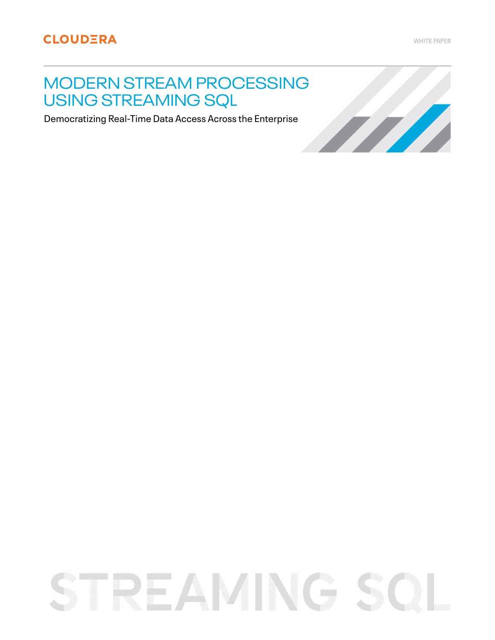# MODERN STREAM PROCESSING USING STREAMING SQL

Democratizing Real-Time Data Access Across the Enterprise

# TREAMINGS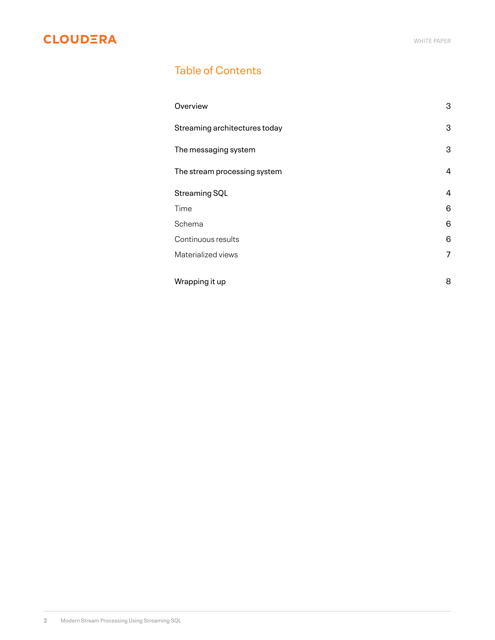# Table of Contents

| Overview                      | 3 |
|-------------------------------|---|
| Streaming architectures today | 3 |
| The messaging system          | 3 |
| The stream processing system  | 4 |
| Streaming SQL                 | 4 |
| Time                          | 6 |
| Schema                        | 6 |
| Continuous results            | 6 |
| Materialized views            | 7 |
| Wrapping it up                | 8 |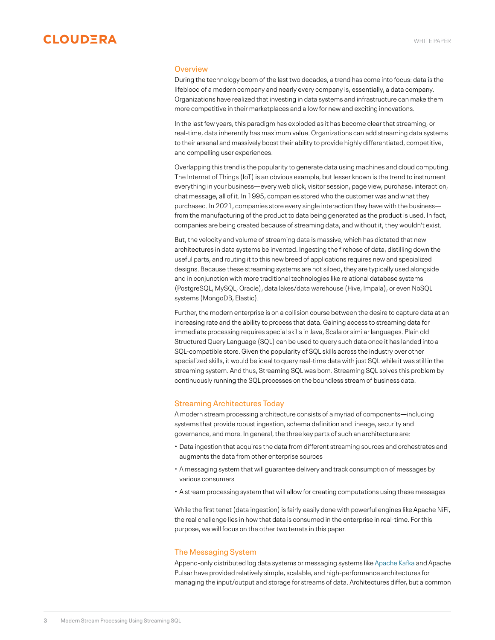

### **Overview**

During the technology boom of the last two decades, a trend has come into focus: data is the lifeblood of a modern company and nearly every company is, essentially, a data company. Organizations have realized that investing in data systems and infrastructure can make them more competitive in their marketplaces and allow for new and exciting innovations.

In the last few years, this paradigm has exploded as it has become clear that streaming, or real-time, data inherently has maximum value. Organizations can add streaming data systems to their arsenal and massively boost their ability to provide highly differentiated, competitive, and compelling user experiences.

Overlapping this trend is the popularity to generate data using machines and cloud computing. The Internet of Things (IoT) is an obvious example, but lesser known is the trend to instrument everything in your business—every web click, visitor session, page view, purchase, interaction, chat message, all of it. In 1995, companies stored who the customer was and what they purchased. In 2021, companies store every single interaction they have with the business from the manufacturing of the product to data being generated as the product is used. In fact, companies are being created because of streaming data, and without it, they wouldn't exist.

But, the velocity and volume of streaming data is massive, which has dictated that new architectures in data systems be invented. Ingesting the firehose of data, distilling down the useful parts, and routing it to this new breed of applications requires new and specialized designs. Because these streaming systems are not siloed, they are typically used alongside and in conjunction with more traditional technologies like relational database systems (PostgreSQL, MySQL, Oracle), data lakes/data warehouse (Hive, Impala), or even NoSQL systems (MongoDB, Elastic).

Further, the modern enterprise is on a collision course between the desire to capture data at an increasing rate and the ability to process that data. Gaining access to streaming data for immediate processing requires special skills in Java, Scala or similar languages. Plain old Structured Query Language (SQL) can be used to query such data once it has landed into a SQL-compatible store. Given the popularity of SQL skills across the industry over other specialized skills, it would be ideal to query real-time data with just SQL while it was still in the streaming system. And thus, Streaming SQL was born. Streaming SQL solves this problem by continuously running the SQL processes on the boundless stream of business data.

# Streaming Architectures Today

A modern stream processing architecture consists of a myriad of components—including systems that provide robust ingestion, schema definition and lineage, security and governance, and more. In general, the three key parts of such an architecture are:

- Data ingestion that acquires the data from different streaming sources and orchestrates and augments the data from other enterprise sources
- A messaging system that will guarantee delivery and track consumption of messages by various consumers
- A stream processing system that will allow for creating computations using these messages

While the first tenet (data ingestion) is fairly easily done with powerful engines like Apache NiFi, the real challenge lies in how that data is consumed in the enterprise in real-time. For this purpose, we will focus on the other two tenets in this paper.

# The Messaging System

Append-only distributed log data systems or messaging systems like [Apache Kafka](https://www.cloudera.com/products/open-source/apache-hadoop/apache-kafka.html) and Apache Pulsar have provided relatively simple, scalable, and high-performance architectures for managing the input/output and storage for streams of data. Architectures differ, but a common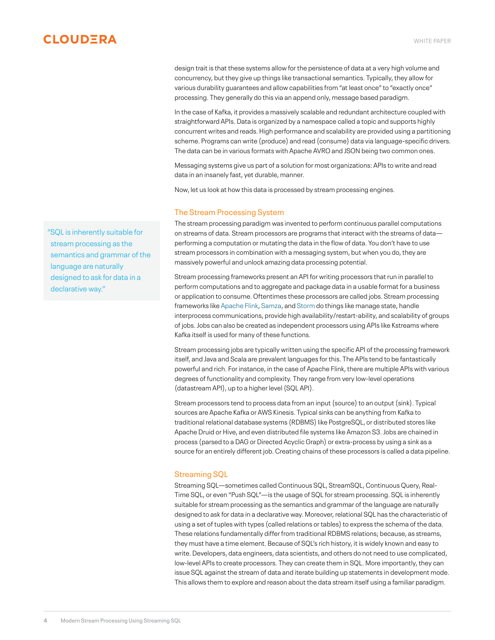design trait is that these systems allow for the persistence of data at a very high volume and concurrency, but they give up things like transactional semantics. Typically, they allow for various durability guarantees and allow capabilities from "at least once" to "exactly once" processing. They generally do this via an append only, message based paradigm.

In the case of Kafka, it provides a massively scalable and redundant architecture coupled with straightforward APIs. Data is organized by a namespace called a topic and supports highly concurrent writes and reads. High performance and scalability are provided using a partitioning scheme. Programs can write (produce) and read (consume) data via language-specific drivers. The data can be in various formats with Apache AVRO and JSON being two common ones.

Messaging systems give us part of a solution for most organizations: APIs to write and read data in an insanely fast, yet durable, manner.

Now, let us look at how this data is processed by stream processing engines.

# The Stream Processing System

The stream processing paradigm was invented to perform continuous parallel computations on streams of data. Stream processors are programs that interact with the streams of data performing a computation or mutating the data in the flow of data. You don't have to use stream processors in combination with a messaging system, but when you do, they are massively powerful and unlock amazing data processing potential.

Stream processing frameworks present an API for writing processors that run in parallel to perform computations and to aggregate and package data in a usable format for a business or application to consume. Oftentimes these processors are called jobs. Stream processing frameworks like [Apache Flink](https://flink.apache.org/), [Samza](http://samza.apache.org/), and [Storm](https://storm.apache.org/) do things like manage state, handle interprocess communications, provide high availability/restart-ability, and scalability of groups of jobs. Jobs can also be created as independent processors using APIs like Kstreams where Kafka itself is used for many of these functions.

Stream processing jobs are typically written using the specific API of the processing framework itself, and Java and Scala are prevalent languages for this. The APIs tend to be fantastically powerful and rich. For instance, in the case of Apache Flink, there are multiple APIs with various degrees of functionality and complexity. They range from very low-level operations (datastream API), up to a higher level (SQL API).

Stream processors tend to process data from an input (source) to an output (sink). Typical sources are Apache Kafka or AWS Kinesis. Typical sinks can be anything from Kafka to traditional relational database systems (RDBMS) like PostgreSQL, or distributed stores like Apache Druid or Hive, and even distributed file systems like Amazon S3. Jobs are chained in process (parsed to a DAG or Directed Acyclic Graph) or extra-process by using a sink as a source for an entirely different job. Creating chains of these processors is called a data pipeline.

# Streaming SQL

Streaming SQL—sometimes called Continuous SQL, StreamSQL, Continuous Query, Real-Time SQL, or even "Push SQL"—is the usage of SQL for stream processing. SQL is inherently suitable for stream processing as the semantics and grammar of the language are naturally designed to ask for data in a declarative way. Moreover, relational SQL has the characteristic of using a set of tuples with types (called relations or tables) to express the schema of the data. These relations fundamentally differ from traditional RDBMS relations; because, as streams, they must have a time element. Because of SQL's rich history, it is widely known and easy to write. Developers, data engineers, data scientists, and others do not need to use complicated, low-level APIs to create processors. They can create them in SQL. More importantly, they can issue SQL against the stream of data and iterate building up statements in development mode. This allows them to explore and reason about the data stream itself using a familiar paradigm.

"SQL is inherently suitable for stream processing as the semantics and grammar of the language are naturally designed to ask for data in a declarative way."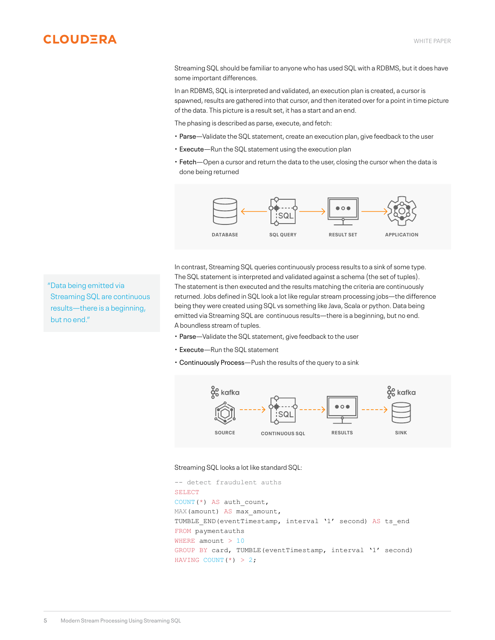Streaming SQL should be familiar to anyone who has used SQL with a RDBMS, but it does have some important differences.

In an RDBMS, SQL is interpreted and validated, an execution plan is created, a cursor is spawned, results are gathered into that cursor, and then iterated over for a point in time picture of the data. This picture is a result set, it has a start and an end.

The phasing is described as parse, execute, and fetch:

- Parse—Validate the SQL statement, create an execution plan, give feedback to the user
- Execute—Run the SQL statement using the execution plan
- Fetch—Open a cursor and return the data to the user, closing the cursor when the data is done being returned



In contrast, Streaming SQL queries continuously process results to a sink of some type. The SQL statement is interpreted and validated against a schema (the set of tuples). The statement is then executed and the results matching the criteria are continuously returned. Jobs defined in SQL look a lot like regular stream processing jobs—the difference being they were created using SQL vs something like Java, Scala or python. Data being emitted via Streaming SQL are continuous results—there is a beginning, but no end. A boundless stream of tuples.

- Parse—Validate the SQL statement, give feedback to the user
- Execute—Run the SQL statement
- Continuously Process—Push the results of the query to a sink



### Streaming SQL looks a lot like standard SQL:

```
-- detect fraudulent auths
SELECT
COUNT(*) AS auth count,
MAX(amount) AS max amount,
TUMBLE END(eventTimestamp, interval '1' second) AS ts end
FROM paymentauths
WHERE amount > 10
GROUP BY card, TUMBLE(eventTimestamp, interval '1' second)
HAVING COUNT(*) > 2;
```
"Data being emitted via Streaming SQL are continuous results—there is a beginning, but no end."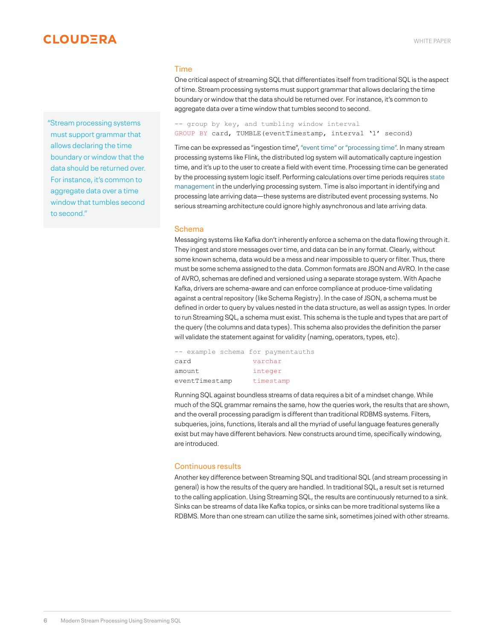"Stream processing systems must support grammar that allows declaring the time boundary or window that the data should be returned over. For instance, it's common to aggregate data over a time window that tumbles second to second."

### Time

One critical aspect of streaming SQL that differentiates itself from traditional SQL is the aspect of time. Stream processing systems must support grammar that allows declaring the time boundary or window that the data should be returned over. For instance, it's common to aggregate data over a time window that tumbles second to second.

-- group by key, and tumbling window interval GROUP BY card, TUMBLE(eventTimestamp, interval '1' second)

Time can be expressed as "ingestion time", ["event time" or "processing time".](https://docs.cloudera.com/csa/1.2.0/flink-overview/topics/csa-event-time.html) In many stream processing systems like Flink, the distributed log system will automatically capture ingestion time, and it's up to the user to create a field with event time. Processing time can be generated by the processing system logic itself. Performing calculations over time periods requires [state](https://docs.cloudera.com/csa/1.2.0/flink-overview/topics/csa-stateful-applications.html)  [management](https://docs.cloudera.com/csa/1.2.0/flink-overview/topics/csa-stateful-applications.html) in the underlying processing system. Time is also important in identifying and processing late arriving data—these systems are distributed event processing systems. No serious streaming architecture could ignore highly asynchronous and late arriving data.

### Schema

Messaging systems like Kafka don't inherently enforce a schema on the data flowing through it. They ingest and store messages over time, and data can be in any format. Clearly, without some known schema, data would be a mess and near impossible to query or filter. Thus, there must be some schema assigned to the data. Common formats are JSON and AVRO. In the case of AVRO, schemas are defined and versioned using a separate storage system. With Apache Kafka, drivers are schema-aware and can enforce compliance at produce-time validating against a central repository (like Schema Registry). In the case of JSON, a schema must be defined in order to query by values nested in the data structure, as well as assign types. In order to run Streaming SQL, a schema must exist. This schema is the tuple and types that are part of the query (the columns and data types). This schema also provides the definition the parser will validate the statement against for validity (naming, operators, types, etc).

-- example schema for paymentauths card varchar amount integer eventTimestamp timestamp

Running SQL against boundless streams of data requires a bit of a mindset change. While much of the SQL grammar remains the same, how the queries work, the results that are shown, and the overall processing paradigm is different than traditional RDBMS systems. Filters, subqueries, joins, functions, literals and all the myriad of useful language features generally exist but may have different behaviors. New constructs around time, specifically windowing, are introduced.

# Continuous results

Another key difference between Streaming SQL and traditional SQL (and stream processing in general) is how the results of the query are handled. In traditional SQL, a result set is returned to the calling application. Using Streaming SQL, the results are continuously returned to a sink. Sinks can be streams of data like Kafka topics, or sinks can be more traditional systems like a RDBMS. More than one stream can utilize the same sink, sometimes joined with other streams.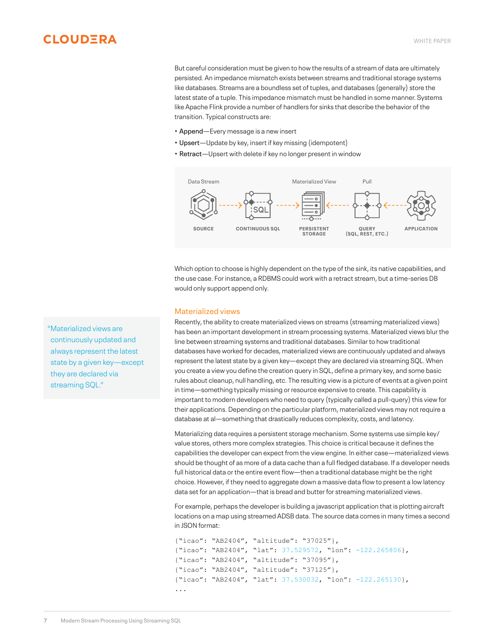But careful consideration must be given to how the results of a stream of data are ultimately persisted. An impedance mismatch exists between streams and traditional storage systems like databases. Streams are a boundless set of tuples, and databases (generally) store the latest state of a tuple. This impedance mismatch must be handled in some manner. Systems like Apache Flink provide a number of handlers for sinks that describe the behavior of the transition. Typical constructs are:

- Append—Every message is a new insert
- Upsert—Update by key, insert if key missing (idempotent)
- Retract—Upsert with delete if key no longer present in window



Which option to choose is highly dependent on the type of the sink, its native capabilities, and the use case. For instance, a RDBMS could work with a retract stream, but a time-series DB would only support append only.

## Materialized views

Recently, the ability to create materialized views on streams (streaming materialized views) has been an important development in stream processing systems. Materialized views blur the line between streaming systems and traditional databases. Similar to how traditional databases have worked for decades, materialized views are continuously updated and always represent the latest state by a given key—except they are declared via streaming SQL. When you create a view you define the creation query in SQL, define a primary key, and some basic rules about cleanup, null handling, etc. The resulting view is a picture of events at a given point in time—something typically missing or resource expensive to create. This capability is important to modern developers who need to query (typically called a pull-query) this view for their applications. Depending on the particular platform, materialized views may not require a database at al—something that drastically reduces complexity, costs, and latency.

Materializing data requires a persistent storage mechanism. Some systems use simple key/ value stores, others more complex strategies. This choice is critical because it defines the capabilities the developer can expect from the view engine. In either case—materialized views should be thought of as more of a data cache than a full fledged database. If a developer needs full historical data or the entire event flow—then a traditional database might be the right choice. However, if they need to aggregate down a massive data flow to present a low latency data set for an application—that is bread and butter for streaming materialized views.

For example, perhaps the developer is building a javascript application that is plotting aircraft locations on a map using streamed ADSB data. The source data comes in many times a second in JSON format:

```
{"icao": "AB2404", "altitude": "37025"},
{"icao": "AB2404", "lat": 37.529572, "lon": -122.265806},
{"icao": "AB2404", "altitude": "37095"},
{"icao": "AB2404", "altitude": "37125"},
{"icao": "AB2404", "lat": 37.530032, "lon": -122.265130},
...
```
"Materialized views are continuously updated and always represent the latest state by a given key—except they are declared via streaming SQL."